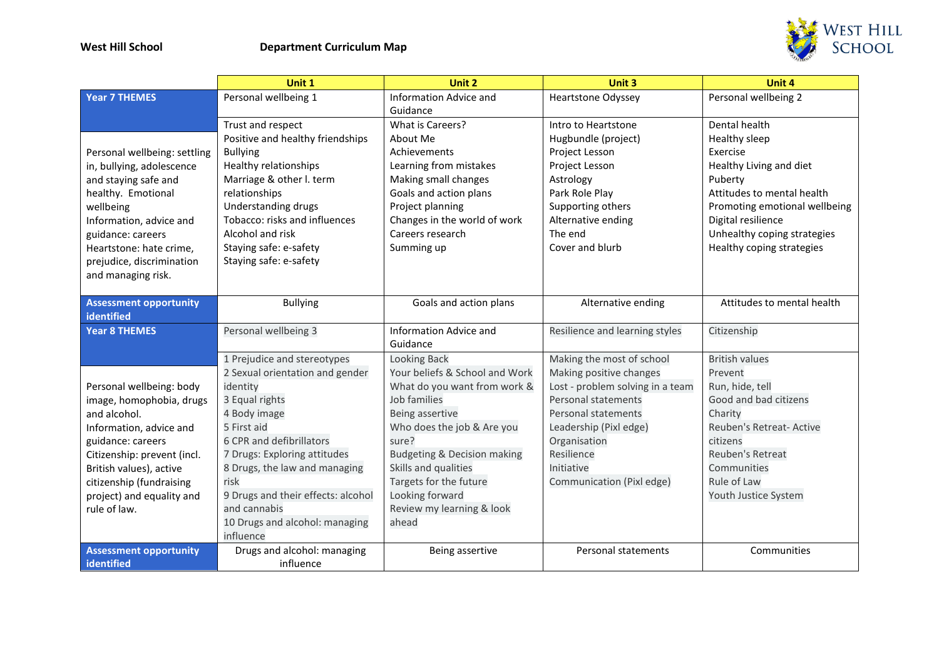

|                               | Unit 1                             | Unit 2                         | Unit 3                           | Unit 4                        |
|-------------------------------|------------------------------------|--------------------------------|----------------------------------|-------------------------------|
| <b>Year 7 THEMES</b>          | Personal wellbeing 1               | <b>Information Advice and</b>  | <b>Heartstone Odyssey</b>        | Personal wellbeing 2          |
|                               |                                    | Guidance                       |                                  |                               |
|                               | Trust and respect                  | What is Careers?               | Intro to Heartstone              | Dental health                 |
|                               | Positive and healthy friendships   | About Me                       | Hugbundle (project)              | Healthy sleep                 |
| Personal wellbeing: settling  | <b>Bullying</b>                    | Achievements                   | Project Lesson                   | Exercise                      |
| in, bullying, adolescence     | Healthy relationships              | Learning from mistakes         | Project Lesson                   | Healthy Living and diet       |
| and staying safe and          | Marriage & other I. term           | Making small changes           | Astrology                        | Puberty                       |
| healthy. Emotional            | relationships                      | Goals and action plans         | Park Role Play                   | Attitudes to mental health    |
| wellbeing                     | Understanding drugs                | Project planning               | Supporting others                | Promoting emotional wellbeing |
| Information, advice and       | Tobacco: risks and influences      | Changes in the world of work   | Alternative ending               | Digital resilience            |
| guidance: careers             | Alcohol and risk                   | Careers research               | The end                          | Unhealthy coping strategies   |
| Heartstone: hate crime,       | Staying safe: e-safety             | Summing up                     | Cover and blurb                  | Healthy coping strategies     |
| prejudice, discrimination     | Staying safe: e-safety             |                                |                                  |                               |
| and managing risk.            |                                    |                                |                                  |                               |
|                               |                                    |                                |                                  |                               |
| <b>Assessment opportunity</b> | <b>Bullying</b>                    | Goals and action plans         | Alternative ending               | Attitudes to mental health    |
| identified                    |                                    |                                |                                  |                               |
| <b>Year 8 THEMES</b>          | Personal wellbeing 3               | <b>Information Advice and</b>  | Resilience and learning styles   | Citizenship                   |
|                               |                                    | Guidance                       |                                  |                               |
|                               | 1 Prejudice and stereotypes        | <b>Looking Back</b>            | Making the most of school        | <b>British values</b>         |
|                               | 2 Sexual orientation and gender    | Your beliefs & School and Work | Making positive changes          | Prevent                       |
| Personal wellbeing: body      | identity                           | What do you want from work &   | Lost - problem solving in a team | Run, hide, tell               |
| image, homophobia, drugs      | 3 Equal rights                     | Job families                   | Personal statements              | Good and bad citizens         |
| and alcohol.                  | 4 Body image                       | Being assertive                | Personal statements              | Charity                       |
| Information, advice and       | 5 First aid                        | Who does the job & Are you     | Leadership (Pixl edge)           | Reuben's Retreat- Active      |
| guidance: careers             | 6 CPR and defibrillators           | sure?                          | Organisation                     | citizens                      |
| Citizenship: prevent (incl.   | 7 Drugs: Exploring attitudes       | Budgeting & Decision making    | Resilience                       | <b>Reuben's Retreat</b>       |
| British values), active       | 8 Drugs, the law and managing      | Skills and qualities           | Initiative                       | Communities                   |
| citizenship (fundraising      | risk                               | Targets for the future         | Communication (Pixl edge)        | Rule of Law                   |
| project) and equality and     | 9 Drugs and their effects: alcohol | Looking forward                |                                  | Youth Justice System          |
| rule of law.                  | and cannabis                       | Review my learning & look      |                                  |                               |
|                               | 10 Drugs and alcohol: managing     | ahead                          |                                  |                               |
|                               | influence                          |                                |                                  |                               |
| <b>Assessment opportunity</b> | Drugs and alcohol: managing        | Being assertive                | Personal statements              | Communities                   |
| identified                    | influence                          |                                |                                  |                               |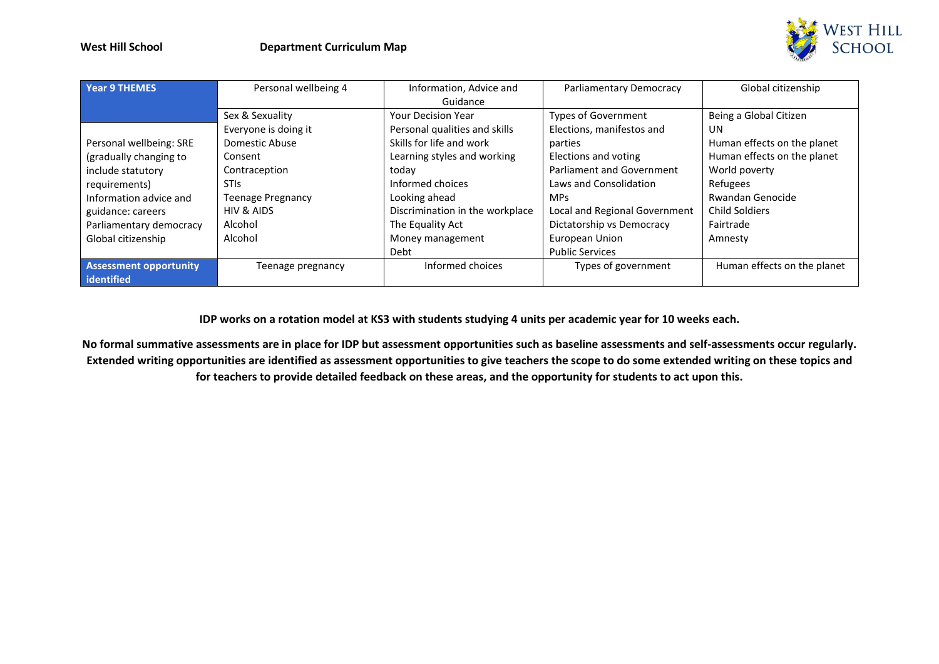

| <b>Year 9 THEMES</b>                        | Personal wellbeing 4     | Information, Advice and<br>Guidance | Parliamentary Democracy       | Global citizenship          |
|---------------------------------------------|--------------------------|-------------------------------------|-------------------------------|-----------------------------|
|                                             | Sex & Sexuality          | <b>Your Decision Year</b>           | <b>Types of Government</b>    | Being a Global Citizen      |
|                                             | Everyone is doing it     | Personal qualities and skills       | Elections, manifestos and     | UN                          |
| Personal wellbeing: SRE                     | Domestic Abuse           | Skills for life and work            | parties                       | Human effects on the planet |
| (gradually changing to                      | Consent                  | Learning styles and working         | Elections and voting          | Human effects on the planet |
| include statutory                           | Contraception            | today                               | Parliament and Government     | World poverty               |
| requirements)                               | <b>STIS</b>              | Informed choices                    | Laws and Consolidation        | Refugees                    |
| Information advice and                      | <b>Teenage Pregnancy</b> | Looking ahead                       | <b>MPs</b>                    | Rwandan Genocide            |
| guidance: careers                           | HIV & AIDS               | Discrimination in the workplace     | Local and Regional Government | <b>Child Soldiers</b>       |
| Parliamentary democracy                     | Alcohol                  | The Equality Act                    | Dictatorship vs Democracy     | Fairtrade                   |
| Global citizenship                          | Alcohol                  | Money management                    | European Union                | Amnesty                     |
|                                             |                          | Debt                                | <b>Public Services</b>        |                             |
| <b>Assessment opportunity</b><br>identified | Teenage pregnancy        | Informed choices                    | Types of government           | Human effects on the planet |

**IDP works on a rotation model at KS3 with students studying 4 units per academic year for 10 weeks each.**

**No formal summative assessments are in place for IDP but assessment opportunities such as baseline assessments and self-assessments occur regularly. Extended writing opportunities are identified as assessment opportunities to give teachers the scope to do some extended writing on these topics and for teachers to provide detailed feedback on these areas, and the opportunity for students to act upon this.**